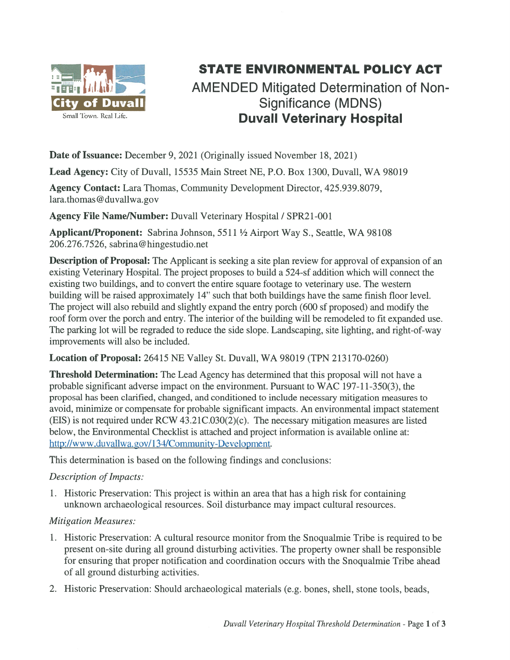

## STATE ENVIRONMENTAL POLICY ACT

## AMENDED Mitigated Determination of Non-Significance (MDNS) Small Town. Real Life. **Duvall Veterinary Hospital**

Date of Issuance: December 9, 2021 (Originally issued November 18, 2021)

Lead Agency: City of Duvall, 15535 Main Street NE, P.O. Box 1300, Duvall, WA 98019

Agency Contact: Lara Thomas, Community Development Director, 425.939.8079, lara.thomas@duvallwa.gov

Agency File Name/Number: Duvall Veterinary Hospital / SPR21-001

Applicant/Proponent: Sabrina Johnson, 5511 1/2 Airport Way S., Seattle, WA 98108 206.276.7526, sabrina@hingestudio.net

Description of Proposal: The Applicant is seeking a site plan review for approval of expansion of an existing Veterinary Hospital. The project proposes to build <sup>a</sup> 524-sf addition which will connect the existing two buildings, and to convert the entire square footage to veterinary use. The western building will be raised approximately 14" such that both buildings have the same finish floor level. The project will also rebuild and slightly expand the entry porch (600 sf proposed) and modify the roof form over the porch and entry. The interior of the building will be remodeled to fit expanded use. The parking lot will be regraded to reduce the side slope. Landscaping, site lighting, and right-of-way improvements will also be included.

Location of Proposal: 26415 NE Valley St. Duvall, WA 98019 (TPN 213170-0260)

**Threshold Determination:** The Lead Agency has determined that this proposal will not have a probable significant adverse impact on the environment. Pursuant to WAC 197-1 1-350(3), the proposal has been clarified, changed, and conditioned to include necessary mitigation measures to avoid, minimize or compensate for probable significant impacts. An environmental impact statement (EIS) is not required under RCW 43.21C.030(2)(c). The necessary mitigation measures are listed below, the Environmental Checklist is attached and project information is available online at: http://www.duvallwa.gov/134/Community-Development.

This determination is based on the following findings and conclusions:

## Description of Impacts:

1 . Historic Preservation: This project is within an area that has <sup>a</sup> high risk for containing unknown archaeological resources. Soil disturbance may impact cultural resources.

## Mitigation Measures:

- 1 . Historic Preservation: A cultural resource monitor from the Snoqualmie Tribe is required to be presen<sup>t</sup> on-site during all ground disturbing activities. The property owner shall be responsible for ensuring that proper notification and coordination occurs with the Snoqualmie Tribe ahead of all ground disturbing activities.
- 2. Historic Preservation: Should archaeological materials (e.g. bones, shell, stone tools, beads,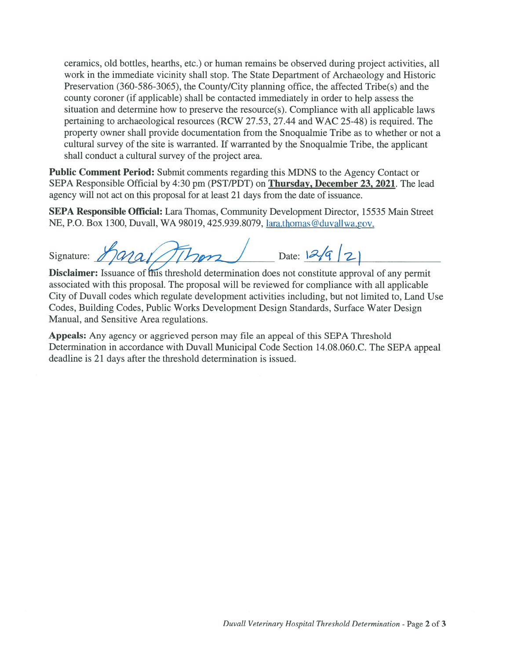ceramics, old bottles, hearths, etc.) or human remains be observed during project activities, all work in the immediate vicinity shall stop. The State Department of Archaeology and Historic Preservation (360-586-3065), the County/City planning office, the affected Tribe(s) and the county coroner (if applicable) shall be contacted immediately in order to help assess the situation and determine how to preserve the resource(s). Compliance with all applicable laws pertaining to archaeological resources (RCW 27.53, 27.44 and WAC 25-48) is required. The property owner shall provide documentation from the Snoqualmie Tribe as to whether or not <sup>a</sup> cultural survey of the site is warranted. If warranted by the Snoqualmie Tribe, the applicant shall conduct <sup>a</sup> cultural survey of the project area.

**Public Comment Period:** Submit comments regarding this MDNS to the Agency Contact or SEPA Responsible Official by 4:30 pm (PST/PDT) on Thursday, December 23, 2021. The lead agency will not act on this proposal for at least 21 days from the date of issuance.

SEPA Responsible Official: Lara Thomas, Community Development Director, 15535 Main Street NE, P.O. Box 1300, Duvall, WA 98019, 425.939.8079, lara.thomas@duval1wa.gov.

Signature:  $M$ ara $1/\sqrt{1/\gamma}$ on Date: 12/9/21

Disclaimer: Issuance of this threshold determination does not constitute approval of any permit associated with this proposal. The proposal will be reviewed for compliance with all applicable City of Duvall codes which regulate development activities including, but not limited to, Land Use Codes, Building Codes, Public Works Development Design Standards, Surface Water Design Manual, and Sensitive Area regulations.

Appeals: Any agency or aggrieved person may file an appeal of this SEPA Threshold Determination in accordance with Duvall Municipal Code Section 14.08.060.C. The SEPA appeal deadline is 21 days after the threshold determination is issued.